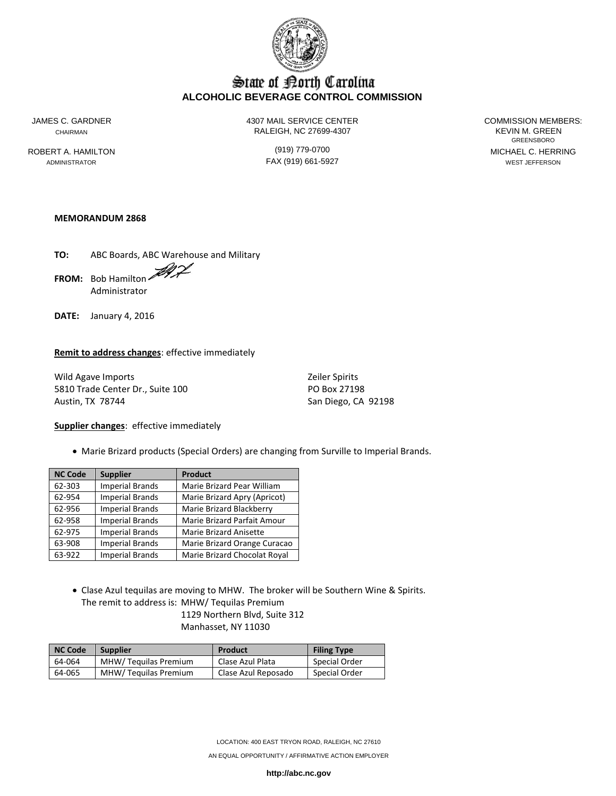

# State of Borth Carolina **ALCOHOLIC BEVERAGE CONTROL COMMISSION**

JAMES C. GARDNER 4307 MAIL SERVICE CENTER COMMISSION MEMBERS: CHAIRMAN CHAIRMAN RALEIGH, NC 27699-4307

GREENSBORO ROBERT A. HAMILTON (919) 779-0700 MICHAEL C. HERRING ADMINISTRATOR FAX (919) 661-5927 WEST JEFFERSON

## **MEMORANDUM 2868**

**TO:** ABC Boards, ABC Warehouse and Military **FROM:** Bob Hamilton Administrator

**DATE:** January 4, 2016

#### **Remit to address changes**: effective immediately

Wild Agave Imports **Zeiler Spirits** Zeiler Spirits 5810 Trade Center Dr., Suite 100 PO Box 27198 Austin, TX 78744 San Diego, CA 92198

#### **Supplier changes**: effective immediately

Marie Brizard products (Special Orders) are changing from Surville to Imperial Brands.

| <b>NC Code</b> | <b>Supplier</b>        | <b>Product</b>               |
|----------------|------------------------|------------------------------|
| 62-303         | <b>Imperial Brands</b> | Marie Brizard Pear William   |
| 62-954         | <b>Imperial Brands</b> | Marie Brizard Apry (Apricot) |
| 62-956         | <b>Imperial Brands</b> | Marie Brizard Blackberry     |
| 62-958         | <b>Imperial Brands</b> | Marie Brizard Parfait Amour  |
| 62-975         | <b>Imperial Brands</b> | Marie Brizard Anisette       |
| 63-908         | <b>Imperial Brands</b> | Marie Brizard Orange Curacao |
| 63-922         | <b>Imperial Brands</b> | Marie Brizard Chocolat Royal |

 Clase Azul tequilas are moving to MHW. The broker will be Southern Wine & Spirits. The remit to address is: MHW/ Tequilas Premium

1129 Northern Blvd, Suite 312 Manhasset, NY 11030

| <b>NC Code</b> | <b>Supplier</b>      | Product             | <b>Filing Type</b> |
|----------------|----------------------|---------------------|--------------------|
| 64-064         | MHW/Tequilas Premium | Clase Azul Plata    | Special Order      |
| 64-065         | MHW/Tequilas Premium | Clase Azul Reposado | Special Order      |

LOCATION: 400 EAST TRYON ROAD, RALEIGH, NC 27610

AN EQUAL OPPORTUNITY / AFFIRMATIVE ACTION EMPLOYER

**http://abc.nc.gov**